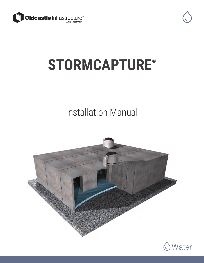



# **STORMCAPTURE**®

## Installation Manual



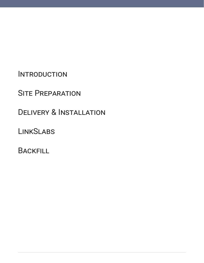**INTRODUCTION** 

**SITE PREPARATION** 

Delivery & Installation

**LINKSLABS** 

**BACKFILL**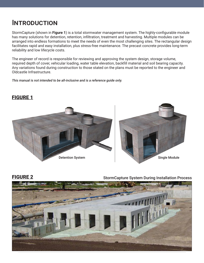### **INTRODUCTION**

StormCapture (shown in **Figure 1**) is a total stormwater management system. The highly-configurable module has many solutions for detention, retention, infiltration, treatment and harvesting. Multiple modules can be arranged into endless formations to meet the needs of even the most challenging sites. The rectangular design facilitates rapid and easy installation, plus stress-free maintenance. The precast concrete provides long-term reliability and low lifecycle costs.

The engineer of record is responsible for reviewing and approving the system design, storage volume, required depth of cover, vehicular loading, water table elevation, backfill material and soil bearing capacity. Any variations found during construction to those stated on the plans must be reported to the engineer and Oldcastle Infrastructure.

*This manual is not intended to be all-inclusive and is a reference guide only.*





FIGURE 2 StormCapture System During Installation Process



### FIGURE 1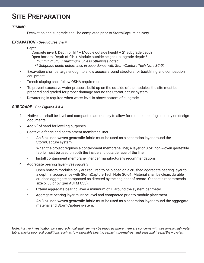### **SITE PREPARATION**

### *TIMING*

• Excavation and subgrade shall be completed prior to StormCapture delivery.

### *EXCAVATION - See Figures 3 & 4*

• Depth

Concrete invert: Depth of fill\* + Module outside height + 2" subgrade depth Open bottom: Depth of fill\* + Module outside height + subgrade depth\*\* *\* 6" minimum, 5' maximum, unless otherwise noted*

 *\*\* Subgrade depth determined in accordance with StormCapture Tech Note SC-01*

- Excavation shall be large enough to allow access around structure for backfilling and compaction equipment.
- Trench sloping shall follow OSHA requirements.
- To prevent excessive water pressure build up on the outside of the modules, the site must be prepared and graded for proper drainage around the StormCapture system.
- Dewatering is required when water level is above bottom of subgrade.

### *SUBGRADE -* See *Figures 3 & 4*

- 1. Native soil shall be level and compacted adequately to allow for required bearing capacity on design documents.
- 2. Add 2" of sand for leveling purposes.
- 3. Geotextile fabric and containment membrane liner.
	- An 8 oz. non-woven geotextile fabric must be used as a separation layer around the StormCapture system.
	- When the project requires a containment membrane liner, a layer of 8 oz. non-woven geotextile fabric must be used on both the inside and outside face of the liner.
	- Install containment membrane liner per manufacturer's recommendations.
- 4. Aggregate bearing layer See *Figure 3*
	- Open-bottom modules only are required to be placed on a crushed aggregate bearing layer to a depth in accordance with StormCapture Tech Note SC-01. Material shall be clean, durable crushed aggregate compacted as directed by the engineer of record. Oldcastle recommends size 5, 56 or 57 (per ASTM C33).
	- Extend aggregate bearing layer a minimum of 1' around the system perimeter.
	- Aggregate bearing layer must be level and compacted prior to module placement.
	- An 8 oz. non-woven geotextile fabric must be used as a separation layer around the aggregate material and StormCapture system.

*Note: Further investigation by a geotechnical engineer may be required where there are concerns with seasonally high water table, and/or poor soil conditions such as low allowable bearing capacity, permafrost and seasonal freeze/thaw cycles.*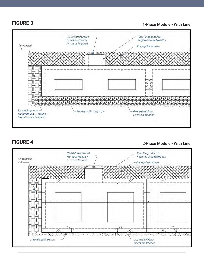**FIGURE 3** 1-Piece Module - With Liner



### FIGURE 4

2-Piece Module - With Liner

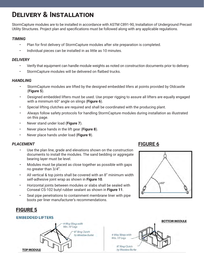### **Delivery & Installation**

StormCapture modules are to be installed in accordance with ASTM C891-90, Installation of Underground Precast Utility Structures. Project plan and specifications must be followed along with any applicable regulations.

### *TIMING*

- Plan for first delivery of StormCapture modules after site preparation is completed.
- Individual pieces can be installed in as little as 10 minutes.

### *DELIVERY*

- Verify that equipment can handle module weights as noted on construction documents prior to delivery.
- StormCapture modules will be delivered on flatbed trucks.

### *HANDLING*

- StormCapture modules are lifted by the designed embedded lifers at points provided by Oldcastle (**Figure 5**).
- Designed embedded lifters must be used. Use proper rigging to assure all lifters are equally engaged with a minimum 60° angle on slings (**Figure 6**).
- Special lifting clutches are required and shall be coordinated with the producing plant.
- Always follow safety protocols for handling StormCapture modules during installation as illustrated on this page.
- Never stand under load (**Figure 7**).
- Never place hands in the lift gear (**Figure 8**).
- Never place hands under load (**Figure 9**).

### *PLACEMENT*

- Use the plan line, grade and elevations shown on the construction documents to install the modules. The sand bedding or aggregate bearing layer must be level.
- Modules must be placed as close together as possible with gaps no greater than 3/4".
- All vertical & top joints shall be covered with an 8" minimum width self-adhesive joint wrap as shown in **Figure 10**.
- Horizontal joints between modules or slabs shall be sealed with Conseal CS-102 butyl rubber sealant as shown in **Figure 11**.
- Seal pipe penetrations to containment membrane liner with pipe boots per liner manufacturer's recommendations.

### **FIGURE 6**



### FIGURE 5

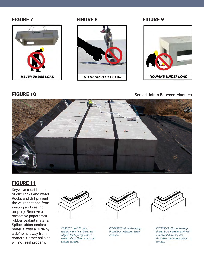



### FIGURE 7 FIGURE 8 FIGURE 9



**FIGURE 10** Sealed Joints Between Modules





### FIGURE 11

Keyways must be free of dirt, rocks and water. Rocks and dirt prevent the vault sections from seating and sealing properly. Remove all protective paper from rubber sealant material. Splice rubber sealant material with a "side by side" joint, away from corners. Corner splicing will not seal properly.



CORRECT - Install rubber sealant material at the outer edge of the keyway. Rubber sealant should be continuous around corners.



**INCORRECT - Do not overlap** the rubber sealant material at splice.



**INCORRECT - Do not overlap** the rubber sealant material at a corner. Rubber sealant should be continuous around corners.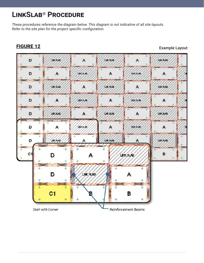### **LinkSlab® Procedure**

*These procedures reference the diagram below. This diagram is not indicative of all site layouts. Refer to the site plan for the project specific configuration.*

### FIGURE 12 Example Layout D LINK SLAB A LINK SLAB A LNK SLAB D A LINKSLAB A LINKS AB A **LINK SLAB** A LNK SLAB D **LINK SLAB** А D А LINK SLAB А **UNISUB** А LNK SLAB LNK SLAB LNK SLAB D A А D LIN SLAB **UNX 8L48** A Α A D **JNK SLAB LINK SLAB** LNK SLAB ă. d  $C<sub>1</sub>$ B D LINK SLAB ă. **LINK SLAB** D А  $C<sub>1</sub>$ в **Reinforcement Beams Start with Corner**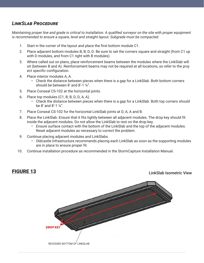### *LinkSlab Procedure*

*Maintaining proper line and grade is critical to installation. A qualified surveyor on the site with proper equipment is recommended to ensure a square, level and straight layout. Subgrade must be compacted.*

- 1. Start in the corner of the layout and place the first bottom module C1.
- 2. Place adjacent bottom modules B, B, D, D. Be sure to set the corners square and straight (from C1 up with D modules, and from C1 right with B modules).
- 3. Where called out on plans, place reinforcement beams between the modules where the LinkSlab will sit (between B and A). Reinforcement beams may not be required at all locations, so refer to the project specific configuration.
- 4. Place interior modules A, A.
	- Check the distance between pieces when there is a gap for a LinkSlab. Both bottom corners should be between 8' and 8'-1 ¼".
- 5. Place Conseal CS-102 at the horizontal joints.
- 6. Place top modules (C1, B, B, D, D, A, A).
	- Check the distance between pieces when there is a gap for a LinkSlab. Both top corners should be 8' and 8'-1 ¼".
- 7. Place Conseal CS-102 for the horizontal LinkSlab joints at D, A, A and B.
- 8. Place the LinkSlab. Ensure that it fits tightly between all adjacent modules. The drop key should fit inside the adjacent modules. Do not allow the LinkSlab to rest on the drop key.
	- Ensure surface contact with the bottom of the LinkSlab and the top of the adjacent modules. Reset adjacent modules as necessary to correct the problem.
- 9. Continue placing adjacent modules and LinkSlabs.
	- Oldcastle Infrastructure recommends placing each LinkSlab as soon as the supporting modules are in place to ensure proper fit.
- 10. Continue installation procedure as recommended in the StormCapture Installation Manual.

**FIGURE 13** LinkSlab Isometric View

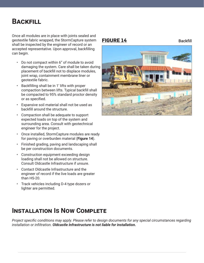### **Backfill**

Once all modules are in place with joints sealed and geotextile fabric wrapped, the StormCapture system shall be inspected by the engineer of record or an accepted representative. Upon approval, backfilling can begin.

- Do not compact within 6" of module to avoid damaging the system. Care shall be taken during placement of backfill not to displace modules, joint wrap, containment membrane liner or geotextile fabric.
- Backfilling shall be in 1' lifts with proper compaction between lifts. Typical backfill shall be compacted to 95% standard proctor density or as specified.
- Expansive soil material shall not be used as backfill around the structure.
- Compaction shall be adequate to support expected loads on top of the system and surrounding area. Consult with geotechnical engineer for the project.
- Once installed, StormCapture modules are ready for paving or overburden material (**Figure 14**).
- Finished grading, paving and landscaping shall be per construction documents.
- Construction equipment exceeding design loading shall not be allowed on structure. Consult Oldcastle Infrastructure if unsure.
- Contact Oldcastle Infrastructure and the engineer of record if the live loads are greater than HS-20.
- Track vehicles including D-4 type dozers or lighter are permitted.

### **FIGURE 14** Backfill



### **Installation Is Now Complete**

*Project specific conditions may apply. Please refer to design documents for any special circumstances regarding installation or infiltration. Oldcastle Infrastructure is not liable for installation.*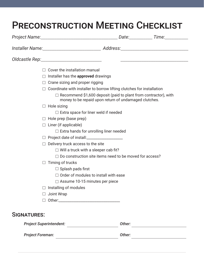## Preconstruction Meeting Checklist

|         | <u> 1989 - Johann John Stein, market fan it ferstjer fan de fan it ferstjer fan it ferstjer fan it ferstjer fan i</u>           |
|---------|---------------------------------------------------------------------------------------------------------------------------------|
|         | Cover the installation manual                                                                                                   |
| $\perp$ | Installer has the <b>approved</b> drawings                                                                                      |
| $\Box$  | Crane sizing and proper rigging                                                                                                 |
|         | Coordinate with installer to borrow lifting clutches for installation                                                           |
|         | $\Box$ Recommend \$1,600 deposit (paid to plant from contractor), with<br>money to be repaid upon return of undamaged clutches. |
| $\Box$  | Hole sizing                                                                                                                     |
|         | $\Box$ Extra space for liner weld if needed                                                                                     |
|         | $\Box$ Hole prep (base prep)                                                                                                    |
|         | $\Box$ Liner (if applicable)                                                                                                    |
|         | $\Box$ Extra hands for unrolling liner needed                                                                                   |
|         |                                                                                                                                 |
|         | Delivery truck access to the site                                                                                               |
|         | $\Box$ Will a truck with a sleeper cab fit?                                                                                     |
|         | Do construction site items need to be moved for access?                                                                         |
|         | Timing of trucks                                                                                                                |
|         | $\Box$ Splash pads first                                                                                                        |
|         | $\Box$ Order of modules to install with ease                                                                                    |
|         | $\Box$ Assume 10-15 minutes per piece                                                                                           |
|         | Installing of modules                                                                                                           |
|         | Joint Wrap                                                                                                                      |
|         |                                                                                                                                 |

| <i>Holen oupermentem.</i> | UUIGI. |  |
|---------------------------|--------|--|
| <b>Project Foreman:</b>   | Other: |  |